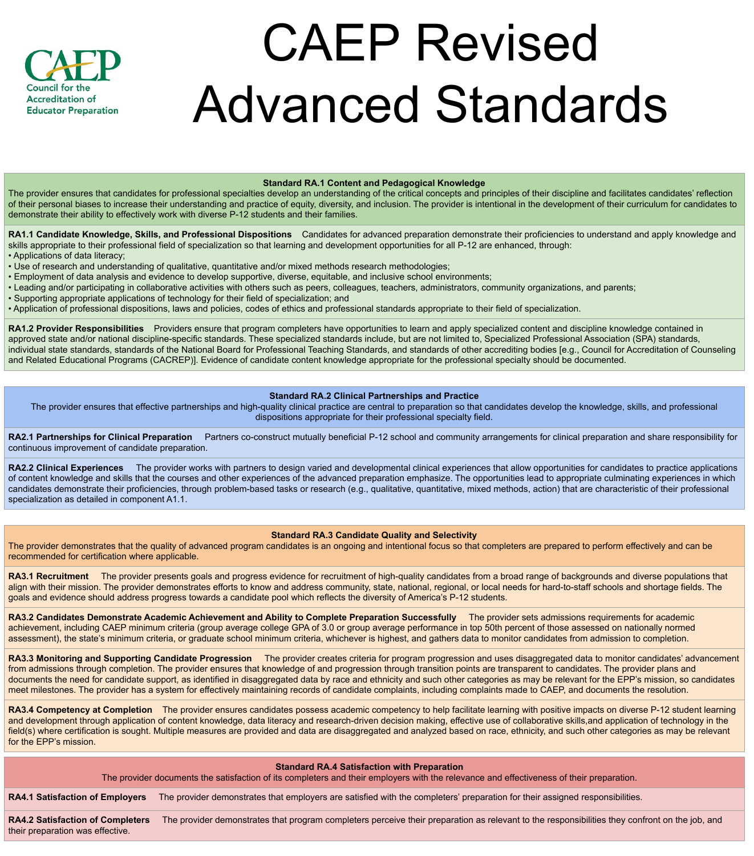### Standard RA.1 Content and Pedagogical Knowledge

The provider ensures that candidates for professional specialties develop an understanding of the critical concepts and principles of their discipline and facilitates candidates' reflection of their personal biases to increase their understanding and practice of equity, diversity, and inclusion. The provider is intentional in the development of their curriculum for candidates to demonstrate their ability to effectively work with diverse P-12 students and their families.

RA1.1 Candidate Knowledge, Skills, and Professional Dispositions Candidates for advanced preparation demonstrate their proficiencies to understand and apply knowledge and skills appropriate to their professional field of specialization so that learning and development opportunities for all P-12 are enhanced, through:

RA1.2 Provider Responsibilities Providers ensure that program completers have opportunities to learn and apply specialized content and discipline knowledge contained in approved state and/or national discipline-specific standards. These specialized standards include, but are not limited to, Specialized Professional Association (SPA) standards, individual state standards, standards of the National Board for Professional Teaching Standards, and standards of other accrediting bodies [e.g., Council for Accreditation of Counseling and Related Educational Programs (CACREP)]. Evidence of candidate content knowledge appropriate for the professional specialty should be documented.

- Applications of data literacy;
- Use of research and understanding of qualitative, quantitative and/or mixed methods research methodologies;
- Employment of data analysis and evidence to develop supportive, diverse, equitable, and inclusive school environments;
- Leading and/or participating in collaborative activities with others such as peers, colleagues, teachers, administrators, community organizations, and parents;
- Supporting appropriate applications of technology for their field of specialization; and
- Application of professional dispositions, laws and policies, codes of ethics and professional standards appropriate to their field of specialization.

RA2.1 Partnerships for Clinical Preparation Partners co-construct mutually beneficial P-12 school and community arrangements for clinical preparation and share responsibility for continuous improvement of candidate preparation.

RA2.2 Clinical Experiences The provider works with partners to design varied and developmental clinical experiences that allow opportunities for candidates to practice applications of content knowledge and skills that the courses and other experiences of the advanced preparation emphasize. The opportunities lead to appropriate culminating experiences in which candidates demonstrate their proficiencies, through problem-based tasks or research (e.g., qualitative, quantitative, mixed methods, action) that are characteristic of their professional specialization as detailed in component A1.1.

align with their mission. The provider demonstrates efforts to know and address community, state, national, regional, or local needs for hard-to-staff schools and shortage fields. The goals and evidence should address progress towards a candidate pool which reflects the diversity of America's P-12 students.

# Standard RA.2 Clinical Partnerships and Practice

RA3.2 Candidates Demonstrate Academic Achievement and Ability to Complete Preparation Successfully The provider sets admissions requirements for academic achievement, including CAEP minimum criteria (group average college GPA of 3.0 or group average performance in top 50th percent of those assessed on nationally normed assessment), the state's minimum criteria, or graduate school minimum criteria, whichever is highest, and gathers data to monitor candidates from admission to completion.

The provider ensures that effective partnerships and high-quality clinical practice are central to preparation so that candidates develop the knowledge, skills, and professional dispositions appropriate for their professional specialty field.

RA3.3 Monitoring and Supporting Candidate Progression The provider creates criteria for program progression and uses disaggregated data to monitor candidates' advancement from admissions through completion. The provider ensures that knowledge of and progression through transition points are transparent to candidates. The provider plans and documents the need for candidate support, as identified in disaggregated data by race and ethnicity and such other categories as may be relevant for the EPP's mission, so candidates meet milestones. The provider has a system for effectively maintaining records of candidate complaints, including complaints made to CAEP, and documents the resolution.

RA3.4 Competency at Completion The provider ensures candidates possess academic competency to help facilitate learning with positive impacts on diverse P-12 student learning and development through application of content knowledge, data literacy and research-driven decision making, effective use of collaborative skills,and application of technology in the field(s) where certification is sought. Multiple measures are provided and data are disaggregated and analyzed based on race, ethnicity, and such other categories as may be relevant for the EPP's mission.

RA4.2 Satisfaction of Completers The provider demonstrates that program completers perceive their preparation as relevant to the responsibilities they confront on the job, and their preparation was effective.

# Standard RA.3 Candidate Quality and Selectivity

The provider demonstrates that the quality of advanced program candidates is an ongoing and intentional focus so that completers are prepared to perform effectively and can be recommended for certification where applicable.

RA3.1 Recruitment The provider presents goals and progress evidence for recruitment of high-quality candidates from a broad range of backgrounds and diverse populations that



# CAEP Revised Advanced Standards

#### Standard RA.4 Satisfaction with Preparation

The provider documents the satisfaction of its completers and their employers with the relevance and effectiveness of their preparation.

RA4.1 Satisfaction of Employers The provider demonstrates that employers are satisfied with the completers' preparation for their assigned responsibilities.